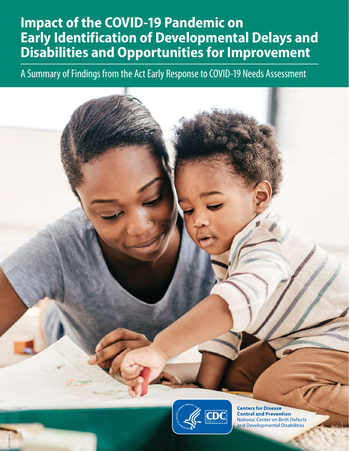### *A Summary of Findings from the Act Early Response to COVID-19 Needs Assessment* **Impact of the COVID-19 Pandemic on Early Identification of Developmental Delays and Disabilities and Opportunities for Improvement**

A Summary of Findings from the Act Early Response to COVID-19 Needs Assessment



**1** *Learn the Signs. Act Early.* |www.cdc.gov/ActEarly

CS 327899-A

**Centers for Disease Control and Prevention National Center on Birth Defects** and Developmental Disabilities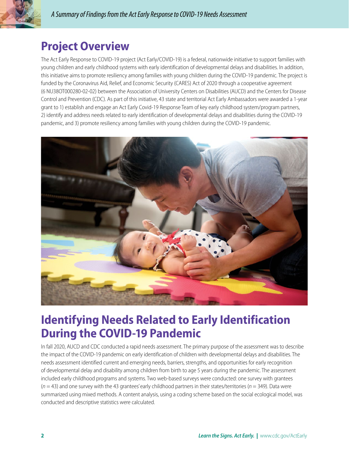

### **Project Overview**

The Act Early Response to COVID-19 project (Act Early/COVID-19) is a federal, nationwide initiative to support families with young children and early childhood systems with early identification of developmental delays and disabilities. In addition, this initiative aims to promote resiliency among families with young children during the COVID-19 pandemic. The project is funded by the Coronavirus Aid, Relief, and Economic Security (CARES) Act of 2020 through a cooperative agreement (6 NU38OT000280-02-02) between the Association of University Centers on Disabilities (AUCD) and the Centers for Disease Control and Prevention (CDC). As part of this initiative, 43 state and territorial Act Early Ambassadors were awarded a 1-year grant to 1) establish and engage an Act Early Covid-19 Response Team of key early childhood system/program partners, 2) identify and address needs related to early identification of developmental delays and disabilities during the COVID-19 pandemic, and 3) promote resiliency among families with young children during the COVID-19 pandemic.



### **Identifying Needs Related to Early Identification During the COVID-19 Pandemic**

In fall 2020, AUCD and CDC conducted a rapid needs assessment. The primary purpose of the assessment was to describe the impact of the COVID-19 pandemic on early identification of children with developmental delays and disabilities. The needs assessment identified current and emerging needs, barriers, strengths, and opportunities for early recognition of developmental delay and disability among children from birth to age 5 years during the pandemic. The assessment included early childhood programs and systems. Two web-based surveys were conducted: one survey with grantees (*n* = 43) and one survey with the 43 grantees' early childhood partners in their states/territories (*n* = 349). Data were summarized using mixed methods. A content analysis, using a coding scheme based on the social ecological model, was conducted and descriptive statistics were calculated.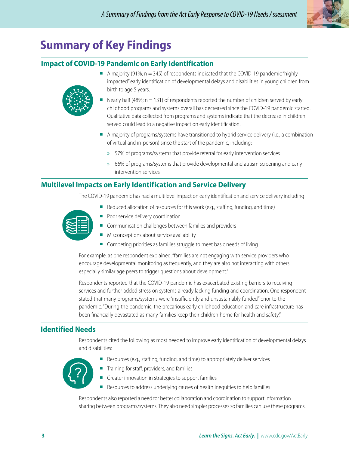

# **Summary of Key Findings**

#### **Impact of COVID-19 Pandemic on Early Identification**



- $\blacksquare$  A majority (91%;  $n = 345$ ) of respondents indicated that the COVID-19 pandemic "highly impacted" early identification of developmental delays and disabilities in young children from birth to age 5 years.
- Nearly half (48%;  $n = 131$ ) of respondents reported the number of children served by early childhood programs and systems overall has decreased since the COVID-19 pandemic started. Qualitative data collected from programs and systems indicate that the decrease in children served could lead to a negative impact on early identification.
- A majority of programs/systems have transitioned to hybrid service delivery (i.e., a combination of virtual and in-person) since the start of the pandemic, including:
	- » 57% of programs/systems that provide referral for early intervention services
	- » 66% of programs/systems that provide developmental and autism screening and early intervention services

#### **Multilevel Impacts on Early Identification and Service Delivery**

The COVID-19 pandemic has had a multilevel impact on early identification and service delivery including

- Reduced allocation of resources for this work (e.g., staffing, funding, and time) ■ Poor service delivery coordination
	- Communication challenges between families and providers
	- Misconceptions about service availability
	- Competing priorities as families struggle to meet basic needs of living

For example, as one respondent explained, "families are not engaging with service providers who encourage developmental monitoring as frequently, and they are also not interacting with others especially similar age peers to trigger questions about development."

Respondents reported that the COVID-19 pandemic has exacerbated existing barriers to receiving services and further added stress on systems already lacking funding and coordination. One respondent stated that many programs/systems were "insufficiently and unsustainably funded" prior to the pandemic. "During the pandemic, the precarious early childhood education and care infrastructure has been financially devastated as many families keep their children home for health and safety."

#### **Identified Needs**

Respondents cited the following as most needed to improve early identification of developmental delays and disabilities:



- Resources (e.g., staffing, funding, and time) to appropriately deliver services
- Training for staff, providers, and families
- Greater innovation in strategies to support families
- Resources to address underlying causes of health inequities to help families

Respondents also reported a need for better collaboration and coordination to support information sharing between programs/systems. They also need simpler processes so families can use these programs.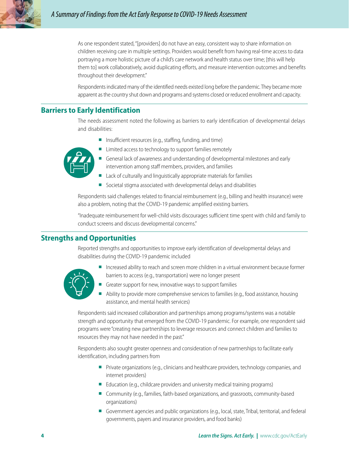

As one respondent stated, "[providers] do not have an easy, consistent way to share information on children receiving care in multiple settings. Providers would benefit from having real-time access to data portraying a more holistic picture of a child's care network and health status over time; [this will help them to] work collaboratively, avoid duplicating efforts, and measure intervention outcomes and benefits throughout their development."

Respondents indicated many of the identified needs existed long before the pandemic. They became more apparent as the country shut down and programs and systems closed or reduced enrollment and capacity.

#### **Barriers to Early Identification**

The needs assessment noted the following as barriers to early identification of developmental delays and disabilities:

■ Insufficient resources (e.g., staffing, funding, and time)



- Limited access to technology to support families remotely
- General lack of awareness and understanding of developmental milestones and early intervention among staff members, providers, and families
- Lack of culturally and linguistically appropriate materials for families
- Societal stigma associated with developmental delays and disabilities

Respondents said challenges related to financial reimbursement (e.g., billing and health insurance) were also a problem, noting that the COVID-19 pandemic amplified existing barriers.

"Inadequate reimbursement for well-child visits discourages sufficient time spent with child and family to conduct screens and discuss developmental concerns."

#### **Strengths and Opportunities**

Reported strengths and opportunities to improve early identification of developmental delays and disabilities during the COVID-19 pandemic included



- Increased ability to reach and screen more children in a virtual environment because former barriers to access (e.g., transportation) were no longer present
- Greater support for new, innovative ways to support families
- Ability to provide more comprehensive services to families (e.g., food assistance, housing assistance, and mental health services)

Respondents said increased collaboration and partnerships among programs/systems was a notable strength and opportunity that emerged from the COVID-19 pandemic. For example, one respondent said programs were "creating new partnerships to leverage resources and connect children and families to resources they may not have needed in the past."

Respondents also sought greater openness and consideration of new partnerships to facilitate early identification, including partners from

- Private organizations (e.g., clinicians and healthcare providers, technology companies, and internet providers)
- Education (e.g., childcare providers and university medical training programs)
- Community (e.g., families, faith-based organizations, and grassroots, community-based organizations)
- Government agencies and public organizations (e.g., local, state, Tribal, territorial, and federal governments, payers and insurance providers, and food banks)